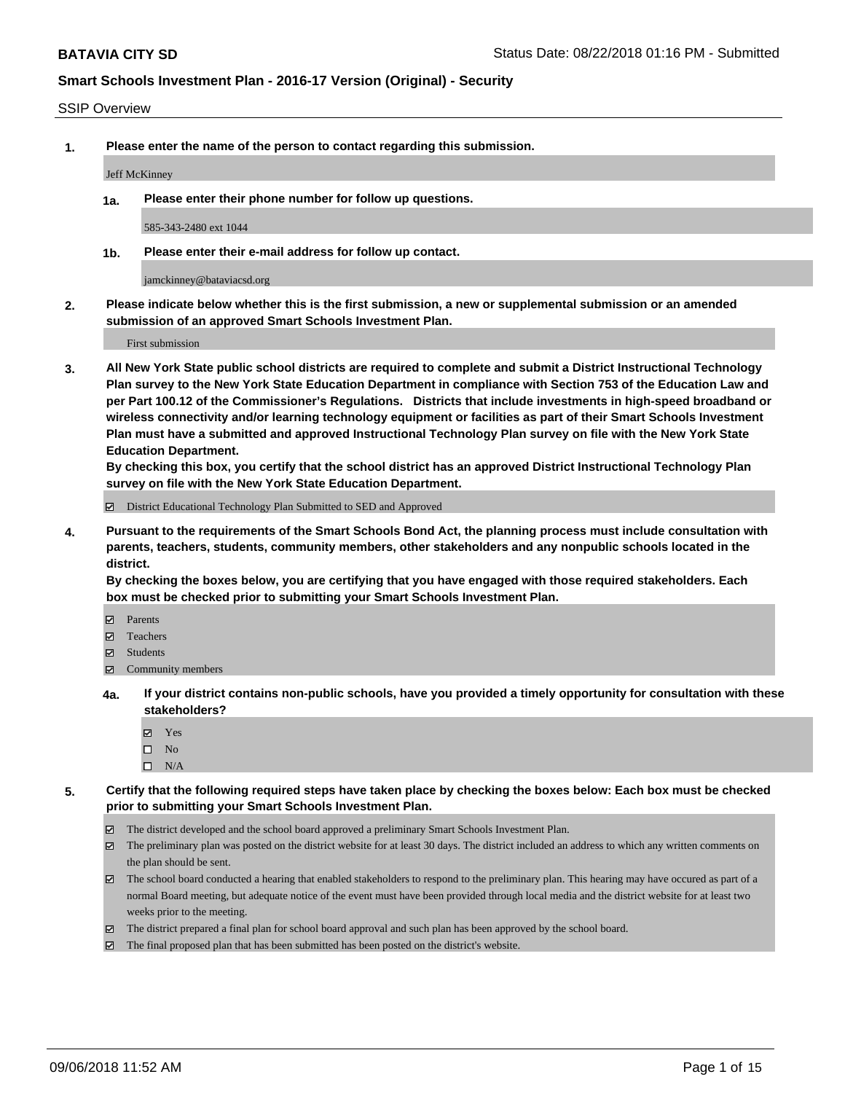#### SSIP Overview

**1. Please enter the name of the person to contact regarding this submission.**

#### Jeff McKinney

**1a. Please enter their phone number for follow up questions.**

585-343-2480 ext 1044

**1b. Please enter their e-mail address for follow up contact.**

jamckinney@bataviacsd.org

**2. Please indicate below whether this is the first submission, a new or supplemental submission or an amended submission of an approved Smart Schools Investment Plan.**

First submission

**3. All New York State public school districts are required to complete and submit a District Instructional Technology Plan survey to the New York State Education Department in compliance with Section 753 of the Education Law and per Part 100.12 of the Commissioner's Regulations. Districts that include investments in high-speed broadband or wireless connectivity and/or learning technology equipment or facilities as part of their Smart Schools Investment Plan must have a submitted and approved Instructional Technology Plan survey on file with the New York State Education Department.** 

**By checking this box, you certify that the school district has an approved District Instructional Technology Plan survey on file with the New York State Education Department.**

District Educational Technology Plan Submitted to SED and Approved

**4. Pursuant to the requirements of the Smart Schools Bond Act, the planning process must include consultation with parents, teachers, students, community members, other stakeholders and any nonpublic schools located in the district.** 

**By checking the boxes below, you are certifying that you have engaged with those required stakeholders. Each box must be checked prior to submitting your Smart Schools Investment Plan.**

- **Parents**
- Teachers
- **☑** Students
- **☑** Community members
- **4a. If your district contains non-public schools, have you provided a timely opportunity for consultation with these stakeholders?**
	- **Ø** Yes
	- $\square$  No
	- $\square$  N/A
- **5. Certify that the following required steps have taken place by checking the boxes below: Each box must be checked prior to submitting your Smart Schools Investment Plan.**
	- The district developed and the school board approved a preliminary Smart Schools Investment Plan.
	- $\boxtimes$  The preliminary plan was posted on the district website for at least 30 days. The district included an address to which any written comments on the plan should be sent.
	- The school board conducted a hearing that enabled stakeholders to respond to the preliminary plan. This hearing may have occured as part of a normal Board meeting, but adequate notice of the event must have been provided through local media and the district website for at least two weeks prior to the meeting.
	- The district prepared a final plan for school board approval and such plan has been approved by the school board.
	- The final proposed plan that has been submitted has been posted on the district's website.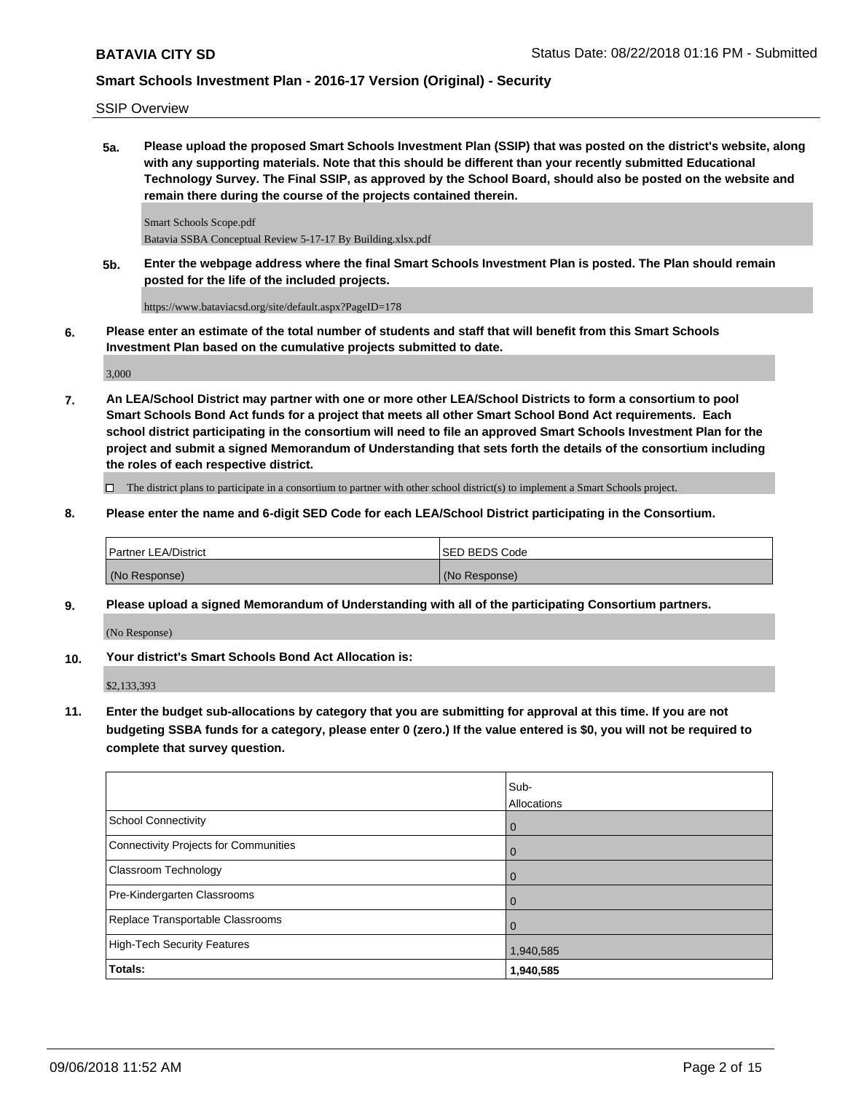#### SSIP Overview

**5a. Please upload the proposed Smart Schools Investment Plan (SSIP) that was posted on the district's website, along with any supporting materials. Note that this should be different than your recently submitted Educational Technology Survey. The Final SSIP, as approved by the School Board, should also be posted on the website and remain there during the course of the projects contained therein.**

Smart Schools Scope.pdf Batavia SSBA Conceptual Review 5-17-17 By Building.xlsx.pdf

**5b. Enter the webpage address where the final Smart Schools Investment Plan is posted. The Plan should remain posted for the life of the included projects.**

https://www.bataviacsd.org/site/default.aspx?PageID=178

**6. Please enter an estimate of the total number of students and staff that will benefit from this Smart Schools Investment Plan based on the cumulative projects submitted to date.**

3,000

**7. An LEA/School District may partner with one or more other LEA/School Districts to form a consortium to pool Smart Schools Bond Act funds for a project that meets all other Smart School Bond Act requirements. Each school district participating in the consortium will need to file an approved Smart Schools Investment Plan for the project and submit a signed Memorandum of Understanding that sets forth the details of the consortium including the roles of each respective district.**

 $\Box$  The district plans to participate in a consortium to partner with other school district(s) to implement a Smart Schools project.

**8. Please enter the name and 6-digit SED Code for each LEA/School District participating in the Consortium.**

| <b>Partner LEA/District</b> | <b>ISED BEDS Code</b> |
|-----------------------------|-----------------------|
| (No Response)               | (No Response)         |

**9. Please upload a signed Memorandum of Understanding with all of the participating Consortium partners.**

(No Response)

**10. Your district's Smart Schools Bond Act Allocation is:**

\$2,133,393

**11. Enter the budget sub-allocations by category that you are submitting for approval at this time. If you are not budgeting SSBA funds for a category, please enter 0 (zero.) If the value entered is \$0, you will not be required to complete that survey question.**

|                                              | Sub-<br>Allocations |
|----------------------------------------------|---------------------|
| <b>School Connectivity</b>                   | $\overline{0}$      |
| <b>Connectivity Projects for Communities</b> | $\overline{0}$      |
| <b>Classroom Technology</b>                  | $\overline{0}$      |
| Pre-Kindergarten Classrooms                  | 0                   |
| Replace Transportable Classrooms             | $\overline{0}$      |
| <b>High-Tech Security Features</b>           | 1,940,585           |
| Totals:                                      | 1,940,585           |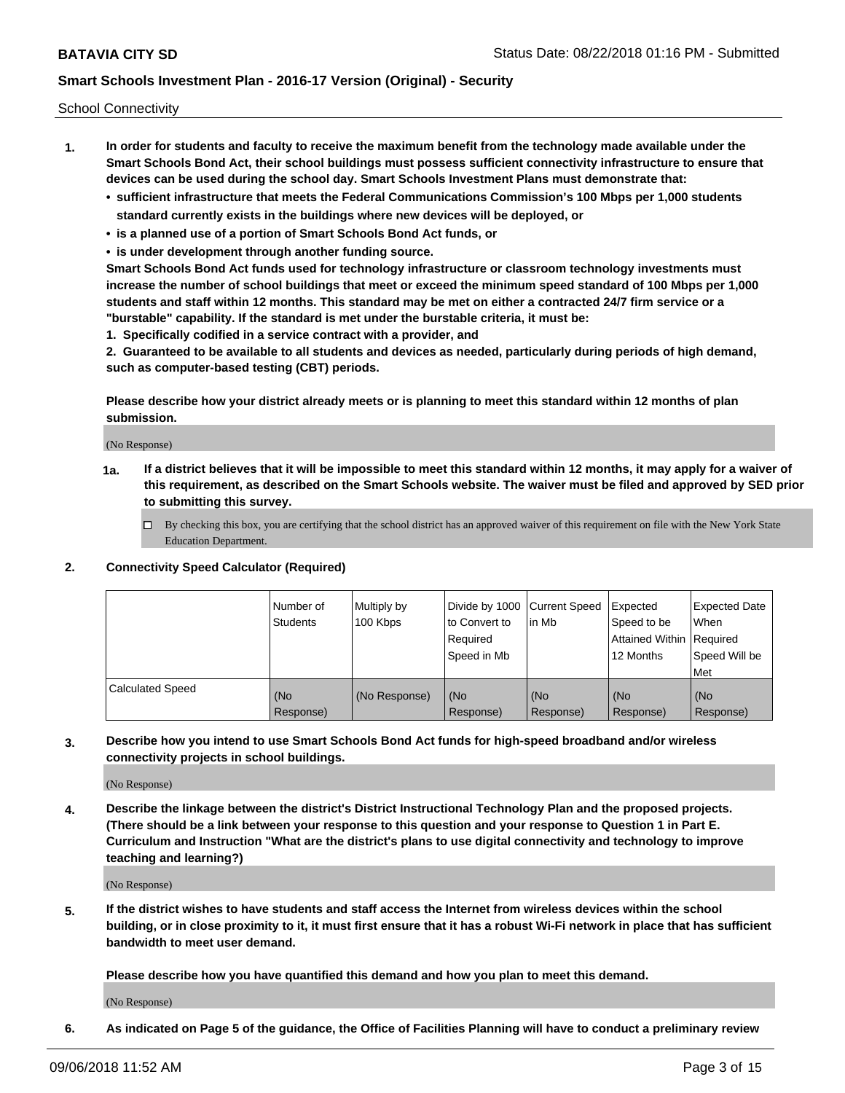School Connectivity

- **1. In order for students and faculty to receive the maximum benefit from the technology made available under the Smart Schools Bond Act, their school buildings must possess sufficient connectivity infrastructure to ensure that devices can be used during the school day. Smart Schools Investment Plans must demonstrate that:**
	- **• sufficient infrastructure that meets the Federal Communications Commission's 100 Mbps per 1,000 students standard currently exists in the buildings where new devices will be deployed, or**
	- **• is a planned use of a portion of Smart Schools Bond Act funds, or**
	- **• is under development through another funding source.**

**Smart Schools Bond Act funds used for technology infrastructure or classroom technology investments must increase the number of school buildings that meet or exceed the minimum speed standard of 100 Mbps per 1,000 students and staff within 12 months. This standard may be met on either a contracted 24/7 firm service or a "burstable" capability. If the standard is met under the burstable criteria, it must be:**

**1. Specifically codified in a service contract with a provider, and**

**2. Guaranteed to be available to all students and devices as needed, particularly during periods of high demand, such as computer-based testing (CBT) periods.**

**Please describe how your district already meets or is planning to meet this standard within 12 months of plan submission.**

(No Response)

**1a. If a district believes that it will be impossible to meet this standard within 12 months, it may apply for a waiver of this requirement, as described on the Smart Schools website. The waiver must be filed and approved by SED prior to submitting this survey.**

 $\Box$  By checking this box, you are certifying that the school district has an approved waiver of this requirement on file with the New York State Education Department.

#### **2. Connectivity Speed Calculator (Required)**

|                         | Number of<br>Students | Multiply by<br>100 Kbps | Divide by 1000 Current Speed<br>to Convert to<br>Required<br>Speed in Mb | l in Mb          | Expected<br>Speed to be<br>Attained Within   Required<br>12 Months | <b>Expected Date</b><br>When<br>Speed Will be<br><b>Met</b> |
|-------------------------|-----------------------|-------------------------|--------------------------------------------------------------------------|------------------|--------------------------------------------------------------------|-------------------------------------------------------------|
| <b>Calculated Speed</b> | (No<br>Response)      | (No Response)           | (No<br>Response)                                                         | (No<br>Response) | (No<br>Response)                                                   | (No<br>Response)                                            |

**3. Describe how you intend to use Smart Schools Bond Act funds for high-speed broadband and/or wireless connectivity projects in school buildings.**

(No Response)

**4. Describe the linkage between the district's District Instructional Technology Plan and the proposed projects. (There should be a link between your response to this question and your response to Question 1 in Part E. Curriculum and Instruction "What are the district's plans to use digital connectivity and technology to improve teaching and learning?)**

(No Response)

**5. If the district wishes to have students and staff access the Internet from wireless devices within the school building, or in close proximity to it, it must first ensure that it has a robust Wi-Fi network in place that has sufficient bandwidth to meet user demand.**

**Please describe how you have quantified this demand and how you plan to meet this demand.**

(No Response)

**6. As indicated on Page 5 of the guidance, the Office of Facilities Planning will have to conduct a preliminary review**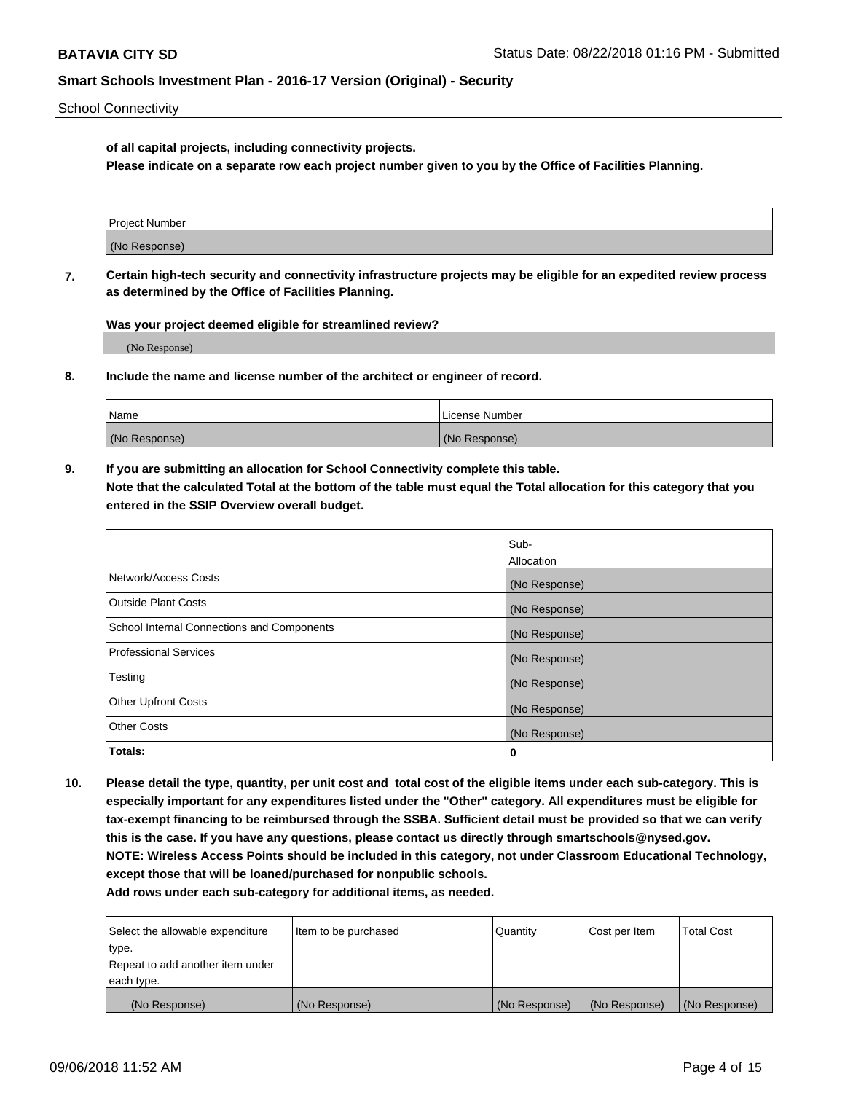School Connectivity

**of all capital projects, including connectivity projects.**

**Please indicate on a separate row each project number given to you by the Office of Facilities Planning.**

| Project Number |  |
|----------------|--|
|                |  |
| (No Response)  |  |
|                |  |

**7. Certain high-tech security and connectivity infrastructure projects may be eligible for an expedited review process as determined by the Office of Facilities Planning.**

**Was your project deemed eligible for streamlined review?**

(No Response)

**8. Include the name and license number of the architect or engineer of record.**

| Name          | License Number |
|---------------|----------------|
| (No Response) | (No Response)  |

**9. If you are submitting an allocation for School Connectivity complete this table. Note that the calculated Total at the bottom of the table must equal the Total allocation for this category that you entered in the SSIP Overview overall budget.** 

|                                            | Sub-          |
|--------------------------------------------|---------------|
|                                            | Allocation    |
| Network/Access Costs                       | (No Response) |
| Outside Plant Costs                        | (No Response) |
| School Internal Connections and Components | (No Response) |
| <b>Professional Services</b>               | (No Response) |
| Testing                                    | (No Response) |
| <b>Other Upfront Costs</b>                 | (No Response) |
| <b>Other Costs</b>                         | (No Response) |
| Totals:                                    | 0             |

**10. Please detail the type, quantity, per unit cost and total cost of the eligible items under each sub-category. This is especially important for any expenditures listed under the "Other" category. All expenditures must be eligible for tax-exempt financing to be reimbursed through the SSBA. Sufficient detail must be provided so that we can verify this is the case. If you have any questions, please contact us directly through smartschools@nysed.gov. NOTE: Wireless Access Points should be included in this category, not under Classroom Educational Technology, except those that will be loaned/purchased for nonpublic schools.**

| Select the allowable expenditure | Item to be purchased | Quantity      | Cost per Item | <b>Total Cost</b> |
|----------------------------------|----------------------|---------------|---------------|-------------------|
| type.                            |                      |               |               |                   |
| Repeat to add another item under |                      |               |               |                   |
| each type.                       |                      |               |               |                   |
| (No Response)                    | (No Response)        | (No Response) | (No Response) | (No Response)     |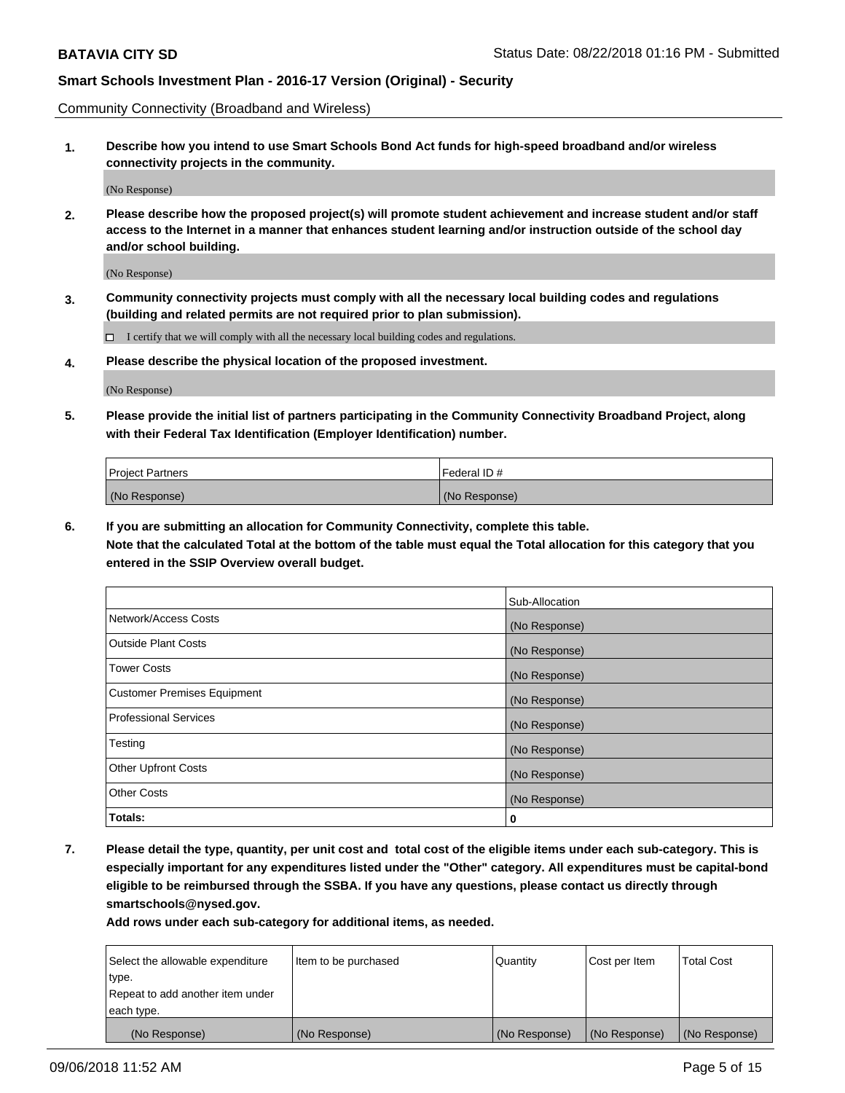Community Connectivity (Broadband and Wireless)

**1. Describe how you intend to use Smart Schools Bond Act funds for high-speed broadband and/or wireless connectivity projects in the community.**

(No Response)

**2. Please describe how the proposed project(s) will promote student achievement and increase student and/or staff access to the Internet in a manner that enhances student learning and/or instruction outside of the school day and/or school building.**

(No Response)

**3. Community connectivity projects must comply with all the necessary local building codes and regulations (building and related permits are not required prior to plan submission).**

 $\Box$  I certify that we will comply with all the necessary local building codes and regulations.

**4. Please describe the physical location of the proposed investment.**

(No Response)

**5. Please provide the initial list of partners participating in the Community Connectivity Broadband Project, along with their Federal Tax Identification (Employer Identification) number.**

| <b>Project Partners</b> | Federal ID#   |
|-------------------------|---------------|
| (No Response)           | (No Response) |

**6. If you are submitting an allocation for Community Connectivity, complete this table.**

**Note that the calculated Total at the bottom of the table must equal the Total allocation for this category that you entered in the SSIP Overview overall budget.**

|                                    | Sub-Allocation |
|------------------------------------|----------------|
| Network/Access Costs               | (No Response)  |
| <b>Outside Plant Costs</b>         | (No Response)  |
| <b>Tower Costs</b>                 | (No Response)  |
| <b>Customer Premises Equipment</b> | (No Response)  |
| <b>Professional Services</b>       | (No Response)  |
| Testing                            | (No Response)  |
| <b>Other Upfront Costs</b>         | (No Response)  |
| <b>Other Costs</b>                 | (No Response)  |
| Totals:                            | 0              |

**7. Please detail the type, quantity, per unit cost and total cost of the eligible items under each sub-category. This is especially important for any expenditures listed under the "Other" category. All expenditures must be capital-bond eligible to be reimbursed through the SSBA. If you have any questions, please contact us directly through smartschools@nysed.gov.**

| Select the allowable expenditure | Item to be purchased | Quantity      | Cost per Item | <b>Total Cost</b> |
|----------------------------------|----------------------|---------------|---------------|-------------------|
| type.                            |                      |               |               |                   |
| Repeat to add another item under |                      |               |               |                   |
| each type.                       |                      |               |               |                   |
| (No Response)                    | (No Response)        | (No Response) | (No Response) | (No Response)     |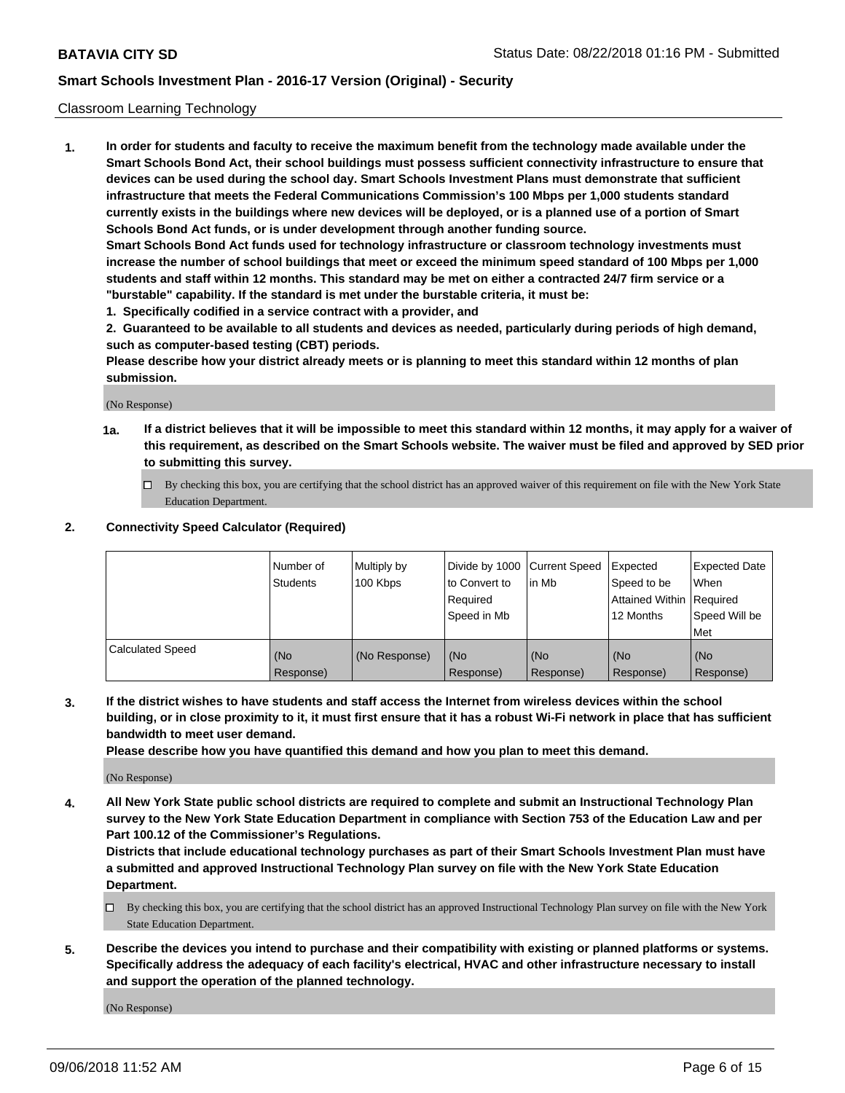#### Classroom Learning Technology

**1. In order for students and faculty to receive the maximum benefit from the technology made available under the Smart Schools Bond Act, their school buildings must possess sufficient connectivity infrastructure to ensure that devices can be used during the school day. Smart Schools Investment Plans must demonstrate that sufficient infrastructure that meets the Federal Communications Commission's 100 Mbps per 1,000 students standard currently exists in the buildings where new devices will be deployed, or is a planned use of a portion of Smart Schools Bond Act funds, or is under development through another funding source. Smart Schools Bond Act funds used for technology infrastructure or classroom technology investments must increase the number of school buildings that meet or exceed the minimum speed standard of 100 Mbps per 1,000 students and staff within 12 months. This standard may be met on either a contracted 24/7 firm service or a**

**"burstable" capability. If the standard is met under the burstable criteria, it must be:**

**1. Specifically codified in a service contract with a provider, and**

**2. Guaranteed to be available to all students and devices as needed, particularly during periods of high demand, such as computer-based testing (CBT) periods.**

**Please describe how your district already meets or is planning to meet this standard within 12 months of plan submission.**

(No Response)

- **1a. If a district believes that it will be impossible to meet this standard within 12 months, it may apply for a waiver of this requirement, as described on the Smart Schools website. The waiver must be filed and approved by SED prior to submitting this survey.**
	- By checking this box, you are certifying that the school district has an approved waiver of this requirement on file with the New York State Education Department.

#### **2. Connectivity Speed Calculator (Required)**

|                         | I Number of<br>Students | Multiply by<br>100 Kbps | to Convert to<br>Required<br>Speed in Mb | Divide by 1000 Current Speed Expected<br>lin Mb | Speed to be<br>Attained Within Required<br>12 Months | Expected Date<br>When<br>Speed Will be<br>Met |
|-------------------------|-------------------------|-------------------------|------------------------------------------|-------------------------------------------------|------------------------------------------------------|-----------------------------------------------|
| <b>Calculated Speed</b> | (No<br>Response)        | (No Response)           | (No<br>Response)                         | (No<br>Response)                                | (No<br>Response)                                     | (No<br>Response)                              |

**3. If the district wishes to have students and staff access the Internet from wireless devices within the school building, or in close proximity to it, it must first ensure that it has a robust Wi-Fi network in place that has sufficient bandwidth to meet user demand.**

**Please describe how you have quantified this demand and how you plan to meet this demand.**

(No Response)

**4. All New York State public school districts are required to complete and submit an Instructional Technology Plan survey to the New York State Education Department in compliance with Section 753 of the Education Law and per Part 100.12 of the Commissioner's Regulations.**

**Districts that include educational technology purchases as part of their Smart Schools Investment Plan must have a submitted and approved Instructional Technology Plan survey on file with the New York State Education Department.**

- $\Box$  By checking this box, you are certifying that the school district has an approved Instructional Technology Plan survey on file with the New York State Education Department.
- **5. Describe the devices you intend to purchase and their compatibility with existing or planned platforms or systems. Specifically address the adequacy of each facility's electrical, HVAC and other infrastructure necessary to install and support the operation of the planned technology.**

(No Response)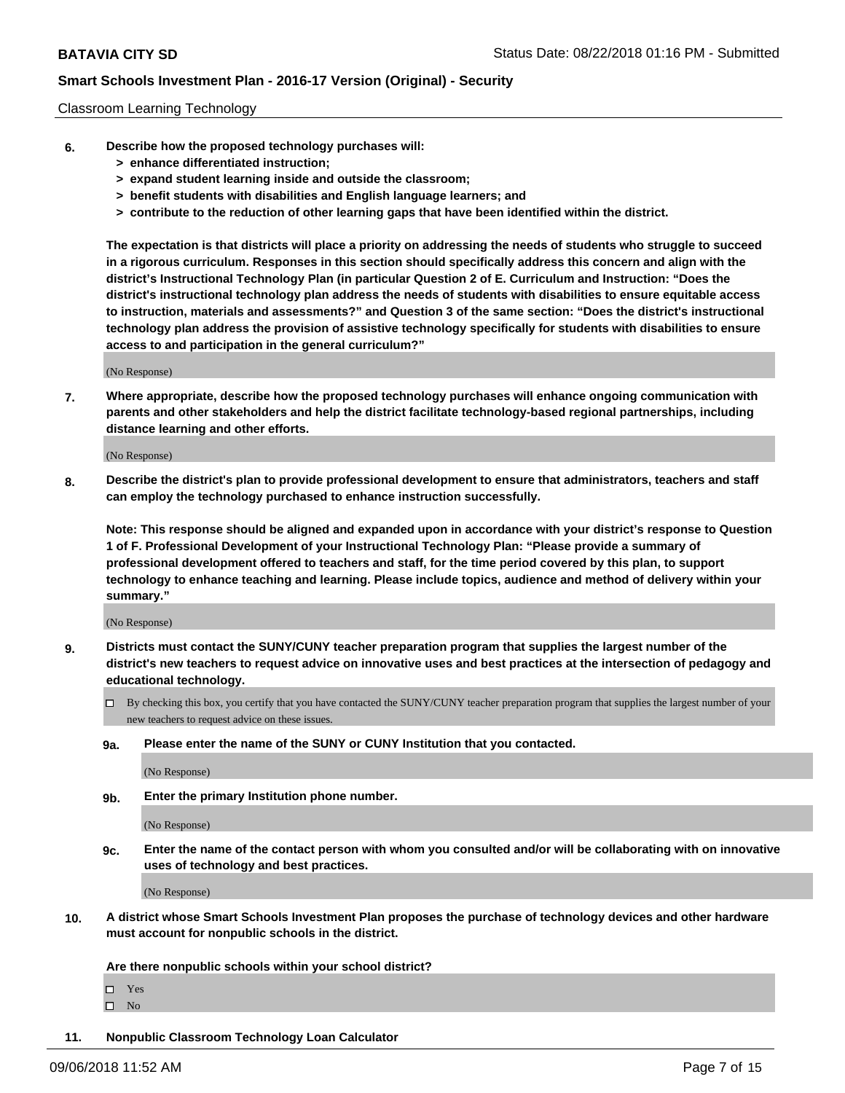#### Classroom Learning Technology

- **6. Describe how the proposed technology purchases will:**
	- **> enhance differentiated instruction;**
	- **> expand student learning inside and outside the classroom;**
	- **> benefit students with disabilities and English language learners; and**
	- **> contribute to the reduction of other learning gaps that have been identified within the district.**

**The expectation is that districts will place a priority on addressing the needs of students who struggle to succeed in a rigorous curriculum. Responses in this section should specifically address this concern and align with the district's Instructional Technology Plan (in particular Question 2 of E. Curriculum and Instruction: "Does the district's instructional technology plan address the needs of students with disabilities to ensure equitable access to instruction, materials and assessments?" and Question 3 of the same section: "Does the district's instructional technology plan address the provision of assistive technology specifically for students with disabilities to ensure access to and participation in the general curriculum?"**

(No Response)

**7. Where appropriate, describe how the proposed technology purchases will enhance ongoing communication with parents and other stakeholders and help the district facilitate technology-based regional partnerships, including distance learning and other efforts.**

(No Response)

**8. Describe the district's plan to provide professional development to ensure that administrators, teachers and staff can employ the technology purchased to enhance instruction successfully.**

**Note: This response should be aligned and expanded upon in accordance with your district's response to Question 1 of F. Professional Development of your Instructional Technology Plan: "Please provide a summary of professional development offered to teachers and staff, for the time period covered by this plan, to support technology to enhance teaching and learning. Please include topics, audience and method of delivery within your summary."**

(No Response)

- **9. Districts must contact the SUNY/CUNY teacher preparation program that supplies the largest number of the district's new teachers to request advice on innovative uses and best practices at the intersection of pedagogy and educational technology.**
	- By checking this box, you certify that you have contacted the SUNY/CUNY teacher preparation program that supplies the largest number of your new teachers to request advice on these issues.
	- **9a. Please enter the name of the SUNY or CUNY Institution that you contacted.**

(No Response)

**9b. Enter the primary Institution phone number.**

(No Response)

**9c. Enter the name of the contact person with whom you consulted and/or will be collaborating with on innovative uses of technology and best practices.**

(No Response)

**10. A district whose Smart Schools Investment Plan proposes the purchase of technology devices and other hardware must account for nonpublic schools in the district.**

**Are there nonpublic schools within your school district?**

Yes

 $\square$  No

**11. Nonpublic Classroom Technology Loan Calculator**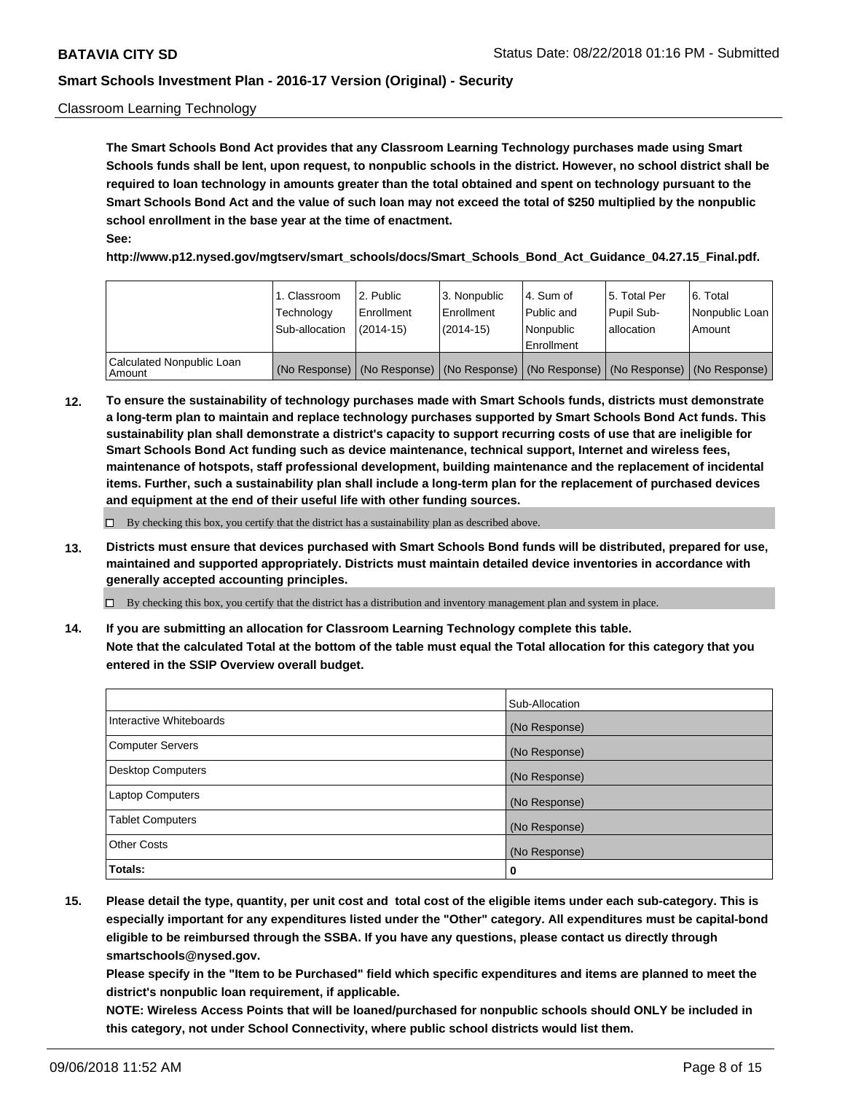#### Classroom Learning Technology

**The Smart Schools Bond Act provides that any Classroom Learning Technology purchases made using Smart Schools funds shall be lent, upon request, to nonpublic schools in the district. However, no school district shall be required to loan technology in amounts greater than the total obtained and spent on technology pursuant to the Smart Schools Bond Act and the value of such loan may not exceed the total of \$250 multiplied by the nonpublic school enrollment in the base year at the time of enactment. See:**

**http://www.p12.nysed.gov/mgtserv/smart\_schools/docs/Smart\_Schools\_Bond\_Act\_Guidance\_04.27.15\_Final.pdf.**

|                                       | 1. Classroom<br>Technology<br>Sub-allocation | 2. Public<br>l Enrollment<br>$(2014 - 15)$ | l 3. Nonpublic<br>l Enrollment<br>$(2014 - 15)$ | l 4. Sum of<br>Public and<br>l Nonpublic<br>Enrollment                                        | 15. Total Per<br>Pupil Sub-<br>l allocation | l 6. Total<br>Nonpublic Loan<br>Amount |
|---------------------------------------|----------------------------------------------|--------------------------------------------|-------------------------------------------------|-----------------------------------------------------------------------------------------------|---------------------------------------------|----------------------------------------|
| Calculated Nonpublic Loan<br>l Amount |                                              |                                            |                                                 | (No Response)   (No Response)   (No Response)   (No Response)   (No Response)   (No Response) |                                             |                                        |

**12. To ensure the sustainability of technology purchases made with Smart Schools funds, districts must demonstrate a long-term plan to maintain and replace technology purchases supported by Smart Schools Bond Act funds. This sustainability plan shall demonstrate a district's capacity to support recurring costs of use that are ineligible for Smart Schools Bond Act funding such as device maintenance, technical support, Internet and wireless fees, maintenance of hotspots, staff professional development, building maintenance and the replacement of incidental items. Further, such a sustainability plan shall include a long-term plan for the replacement of purchased devices and equipment at the end of their useful life with other funding sources.**

 $\Box$  By checking this box, you certify that the district has a sustainability plan as described above.

**13. Districts must ensure that devices purchased with Smart Schools Bond funds will be distributed, prepared for use, maintained and supported appropriately. Districts must maintain detailed device inventories in accordance with generally accepted accounting principles.**

By checking this box, you certify that the district has a distribution and inventory management plan and system in place.

**14. If you are submitting an allocation for Classroom Learning Technology complete this table. Note that the calculated Total at the bottom of the table must equal the Total allocation for this category that you entered in the SSIP Overview overall budget.**

|                          | Sub-Allocation |
|--------------------------|----------------|
| Interactive Whiteboards  | (No Response)  |
| <b>Computer Servers</b>  | (No Response)  |
| <b>Desktop Computers</b> | (No Response)  |
| <b>Laptop Computers</b>  | (No Response)  |
| <b>Tablet Computers</b>  | (No Response)  |
| <b>Other Costs</b>       | (No Response)  |
| Totals:                  | 0              |

**15. Please detail the type, quantity, per unit cost and total cost of the eligible items under each sub-category. This is especially important for any expenditures listed under the "Other" category. All expenditures must be capital-bond eligible to be reimbursed through the SSBA. If you have any questions, please contact us directly through smartschools@nysed.gov.**

**Please specify in the "Item to be Purchased" field which specific expenditures and items are planned to meet the district's nonpublic loan requirement, if applicable.**

**NOTE: Wireless Access Points that will be loaned/purchased for nonpublic schools should ONLY be included in this category, not under School Connectivity, where public school districts would list them.**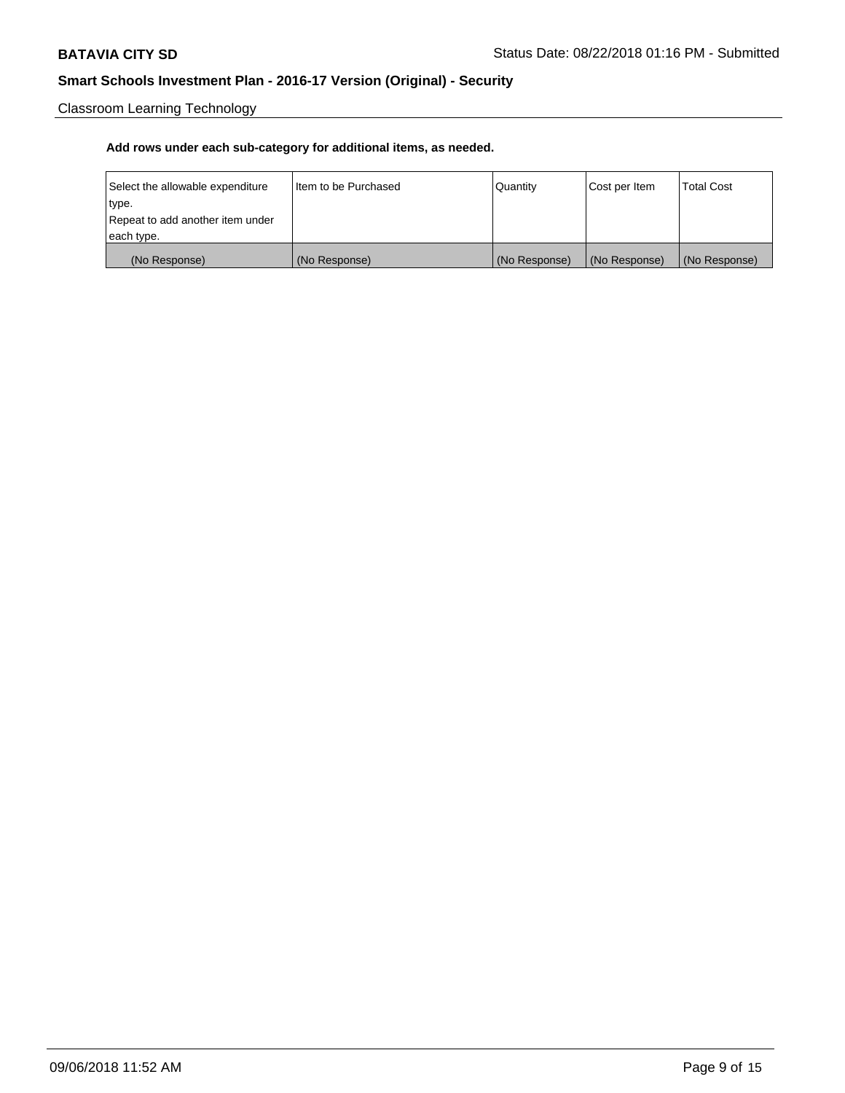Classroom Learning Technology

| Select the allowable expenditure | Iltem to be Purchased | Quantity      | Cost per Item | <b>Total Cost</b> |
|----------------------------------|-----------------------|---------------|---------------|-------------------|
| type.                            |                       |               |               |                   |
| Repeat to add another item under |                       |               |               |                   |
| each type.                       |                       |               |               |                   |
| (No Response)                    | (No Response)         | (No Response) | (No Response) | (No Response)     |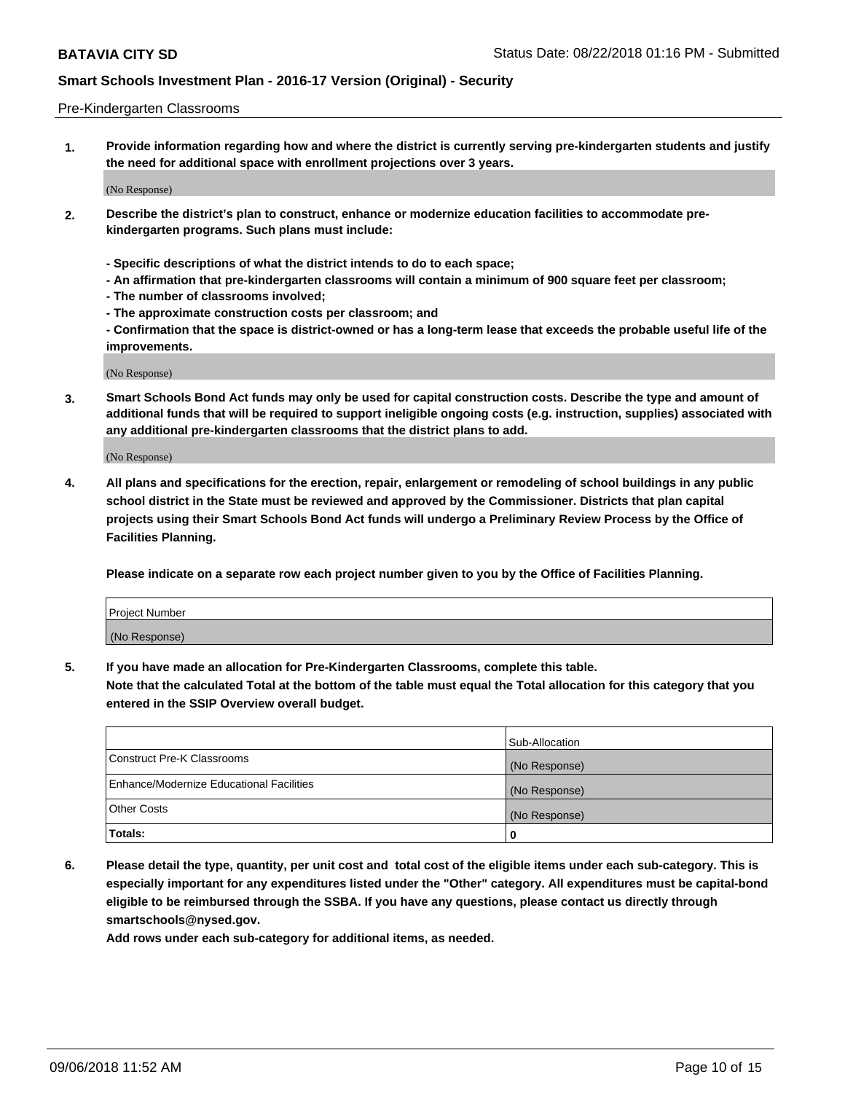#### Pre-Kindergarten Classrooms

**1. Provide information regarding how and where the district is currently serving pre-kindergarten students and justify the need for additional space with enrollment projections over 3 years.**

(No Response)

- **2. Describe the district's plan to construct, enhance or modernize education facilities to accommodate prekindergarten programs. Such plans must include:**
	- **Specific descriptions of what the district intends to do to each space;**
	- **An affirmation that pre-kindergarten classrooms will contain a minimum of 900 square feet per classroom;**
	- **The number of classrooms involved;**
	- **The approximate construction costs per classroom; and**
	- **Confirmation that the space is district-owned or has a long-term lease that exceeds the probable useful life of the improvements.**

(No Response)

**3. Smart Schools Bond Act funds may only be used for capital construction costs. Describe the type and amount of additional funds that will be required to support ineligible ongoing costs (e.g. instruction, supplies) associated with any additional pre-kindergarten classrooms that the district plans to add.**

(No Response)

**4. All plans and specifications for the erection, repair, enlargement or remodeling of school buildings in any public school district in the State must be reviewed and approved by the Commissioner. Districts that plan capital projects using their Smart Schools Bond Act funds will undergo a Preliminary Review Process by the Office of Facilities Planning.**

**Please indicate on a separate row each project number given to you by the Office of Facilities Planning.**

| Project Number |  |
|----------------|--|
| (No Response)  |  |
|                |  |

**5. If you have made an allocation for Pre-Kindergarten Classrooms, complete this table.**

**Note that the calculated Total at the bottom of the table must equal the Total allocation for this category that you entered in the SSIP Overview overall budget.**

|                                          | Sub-Allocation |
|------------------------------------------|----------------|
| Construct Pre-K Classrooms               | (No Response)  |
| Enhance/Modernize Educational Facilities | (No Response)  |
| <b>Other Costs</b>                       | (No Response)  |
| Totals:                                  | 0              |

**6. Please detail the type, quantity, per unit cost and total cost of the eligible items under each sub-category. This is especially important for any expenditures listed under the "Other" category. All expenditures must be capital-bond eligible to be reimbursed through the SSBA. If you have any questions, please contact us directly through smartschools@nysed.gov.**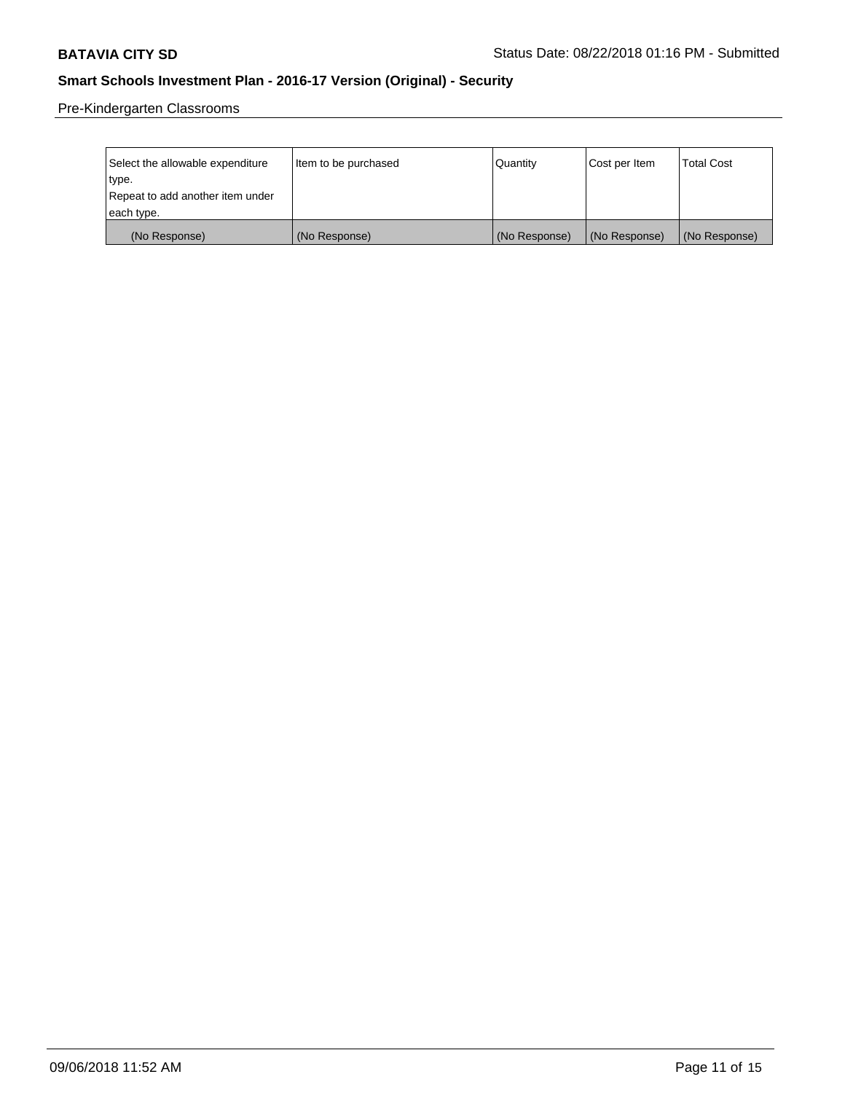Pre-Kindergarten Classrooms

| Select the allowable expenditure | Item to be purchased | Quantity      | Cost per Item | <b>Total Cost</b> |
|----------------------------------|----------------------|---------------|---------------|-------------------|
| type.                            |                      |               |               |                   |
| Repeat to add another item under |                      |               |               |                   |
| each type.                       |                      |               |               |                   |
| (No Response)                    | (No Response)        | (No Response) | (No Response) | (No Response)     |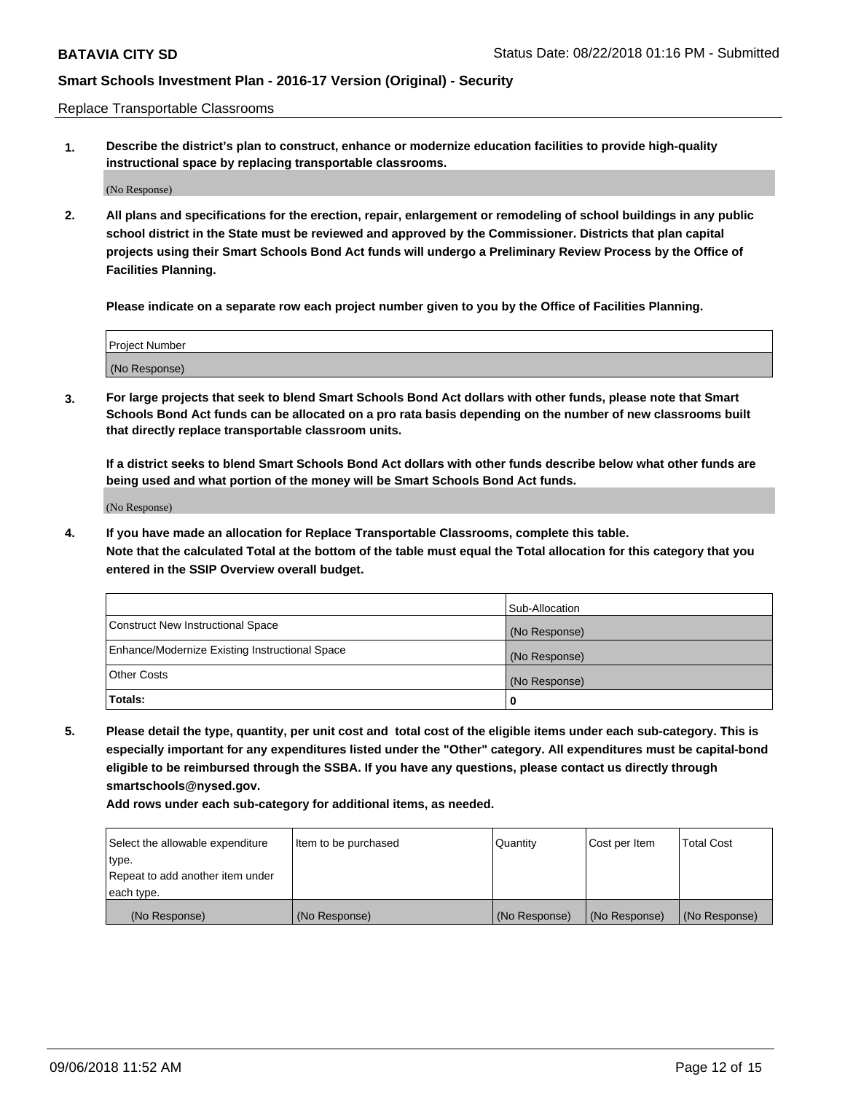Replace Transportable Classrooms

**1. Describe the district's plan to construct, enhance or modernize education facilities to provide high-quality instructional space by replacing transportable classrooms.**

(No Response)

**2. All plans and specifications for the erection, repair, enlargement or remodeling of school buildings in any public school district in the State must be reviewed and approved by the Commissioner. Districts that plan capital projects using their Smart Schools Bond Act funds will undergo a Preliminary Review Process by the Office of Facilities Planning.**

**Please indicate on a separate row each project number given to you by the Office of Facilities Planning.**

| Project Number |  |
|----------------|--|
|                |  |
|                |  |
|                |  |
|                |  |
| (No Response)  |  |
|                |  |
|                |  |
|                |  |

**3. For large projects that seek to blend Smart Schools Bond Act dollars with other funds, please note that Smart Schools Bond Act funds can be allocated on a pro rata basis depending on the number of new classrooms built that directly replace transportable classroom units.**

**If a district seeks to blend Smart Schools Bond Act dollars with other funds describe below what other funds are being used and what portion of the money will be Smart Schools Bond Act funds.**

(No Response)

**4. If you have made an allocation for Replace Transportable Classrooms, complete this table. Note that the calculated Total at the bottom of the table must equal the Total allocation for this category that you entered in the SSIP Overview overall budget.**

|                                                | Sub-Allocation |
|------------------------------------------------|----------------|
| Construct New Instructional Space              | (No Response)  |
| Enhance/Modernize Existing Instructional Space | (No Response)  |
| <b>Other Costs</b>                             | (No Response)  |
| Totals:                                        | 0              |

**5. Please detail the type, quantity, per unit cost and total cost of the eligible items under each sub-category. This is especially important for any expenditures listed under the "Other" category. All expenditures must be capital-bond eligible to be reimbursed through the SSBA. If you have any questions, please contact us directly through smartschools@nysed.gov.**

| Select the allowable expenditure | Item to be purchased | l Quantitv    | Cost per Item | <b>Total Cost</b> |
|----------------------------------|----------------------|---------------|---------------|-------------------|
| type.                            |                      |               |               |                   |
| Repeat to add another item under |                      |               |               |                   |
| each type.                       |                      |               |               |                   |
| (No Response)                    | (No Response)        | (No Response) | (No Response) | (No Response)     |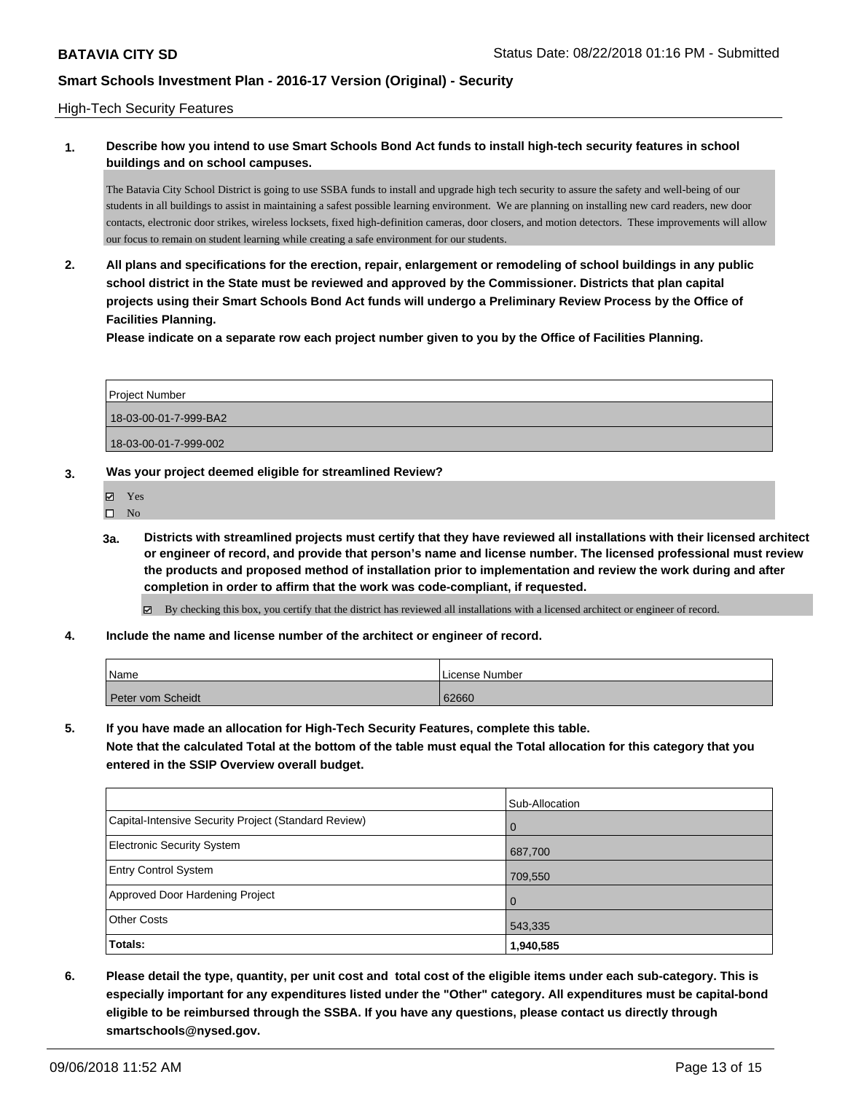#### High-Tech Security Features

### **1. Describe how you intend to use Smart Schools Bond Act funds to install high-tech security features in school buildings and on school campuses.**

The Batavia City School District is going to use SSBA funds to install and upgrade high tech security to assure the safety and well-being of our students in all buildings to assist in maintaining a safest possible learning environment. We are planning on installing new card readers, new door contacts, electronic door strikes, wireless locksets, fixed high-definition cameras, door closers, and motion detectors. These improvements will allow our focus to remain on student learning while creating a safe environment for our students.

**2. All plans and specifications for the erection, repair, enlargement or remodeling of school buildings in any public school district in the State must be reviewed and approved by the Commissioner. Districts that plan capital projects using their Smart Schools Bond Act funds will undergo a Preliminary Review Process by the Office of Facilities Planning.** 

**Please indicate on a separate row each project number given to you by the Office of Facilities Planning.**

| Project Number        |
|-----------------------|
| 18-03-00-01-7-999-BA2 |
| 18-03-00-01-7-999-002 |

### **3. Was your project deemed eligible for streamlined Review?**

- Yes
- $\square$  No
- **3a. Districts with streamlined projects must certify that they have reviewed all installations with their licensed architect or engineer of record, and provide that person's name and license number. The licensed professional must review the products and proposed method of installation prior to implementation and review the work during and after completion in order to affirm that the work was code-compliant, if requested.**
	- By checking this box, you certify that the district has reviewed all installations with a licensed architect or engineer of record.
- **4. Include the name and license number of the architect or engineer of record.**

| Name              | License Number |
|-------------------|----------------|
| Peter vom Scheidt | 62660          |

**5. If you have made an allocation for High-Tech Security Features, complete this table.**

**Note that the calculated Total at the bottom of the table must equal the Total allocation for this category that you entered in the SSIP Overview overall budget.**

|                                                      | Sub-Allocation |
|------------------------------------------------------|----------------|
| Capital-Intensive Security Project (Standard Review) | $\Omega$       |
| <b>Electronic Security System</b>                    | 687,700        |
| <b>Entry Control System</b>                          | 709,550        |
| Approved Door Hardening Project                      | $\Omega$       |
| <b>Other Costs</b>                                   | 543,335        |
| Totals:                                              | 1,940,585      |

**6. Please detail the type, quantity, per unit cost and total cost of the eligible items under each sub-category. This is especially important for any expenditures listed under the "Other" category. All expenditures must be capital-bond eligible to be reimbursed through the SSBA. If you have any questions, please contact us directly through smartschools@nysed.gov.**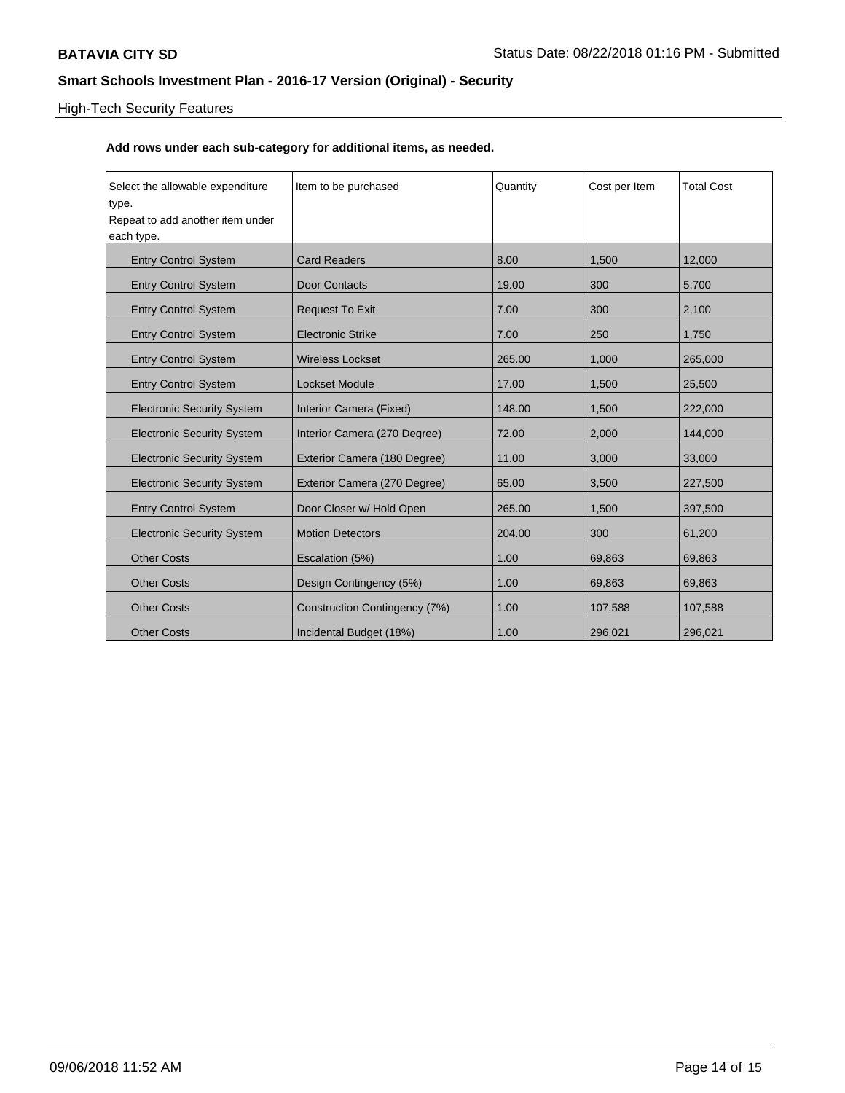# High-Tech Security Features

| Select the allowable expenditure<br>type. | Item to be purchased          | Quantity | Cost per Item | <b>Total Cost</b> |
|-------------------------------------------|-------------------------------|----------|---------------|-------------------|
| Repeat to add another item under          |                               |          |               |                   |
| each type.                                |                               |          |               |                   |
| <b>Entry Control System</b>               | <b>Card Readers</b>           | 8.00     | 1,500         | 12,000            |
| <b>Entry Control System</b>               | <b>Door Contacts</b>          | 19.00    | 300           | 5,700             |
| <b>Entry Control System</b>               | <b>Request To Exit</b>        | 7.00     | 300           | 2,100             |
| <b>Entry Control System</b>               | <b>Electronic Strike</b>      | 7.00     | 250           | 1,750             |
| <b>Entry Control System</b>               | <b>Wireless Lockset</b>       | 265.00   | 1,000         | 265,000           |
| <b>Entry Control System</b>               | <b>Lockset Module</b>         | 17.00    | 1,500         | 25,500            |
| <b>Electronic Security System</b>         | Interior Camera (Fixed)       | 148.00   | 1,500         | 222,000           |
| <b>Electronic Security System</b>         | Interior Camera (270 Degree)  | 72.00    | 2,000         | 144,000           |
| <b>Electronic Security System</b>         | Exterior Camera (180 Degree)  | 11.00    | 3,000         | 33,000            |
| <b>Electronic Security System</b>         | Exterior Camera (270 Degree)  | 65.00    | 3,500         | 227,500           |
| <b>Entry Control System</b>               | Door Closer w/ Hold Open      | 265.00   | 1,500         | 397,500           |
| <b>Electronic Security System</b>         | <b>Motion Detectors</b>       | 204.00   | 300           | 61,200            |
| <b>Other Costs</b>                        | Escalation (5%)               | 1.00     | 69,863        | 69,863            |
| <b>Other Costs</b>                        | Design Contingency (5%)       | 1.00     | 69,863        | 69,863            |
| <b>Other Costs</b>                        | Construction Contingency (7%) | 1.00     | 107,588       | 107,588           |
| <b>Other Costs</b>                        | Incidental Budget (18%)       | 1.00     | 296,021       | 296,021           |